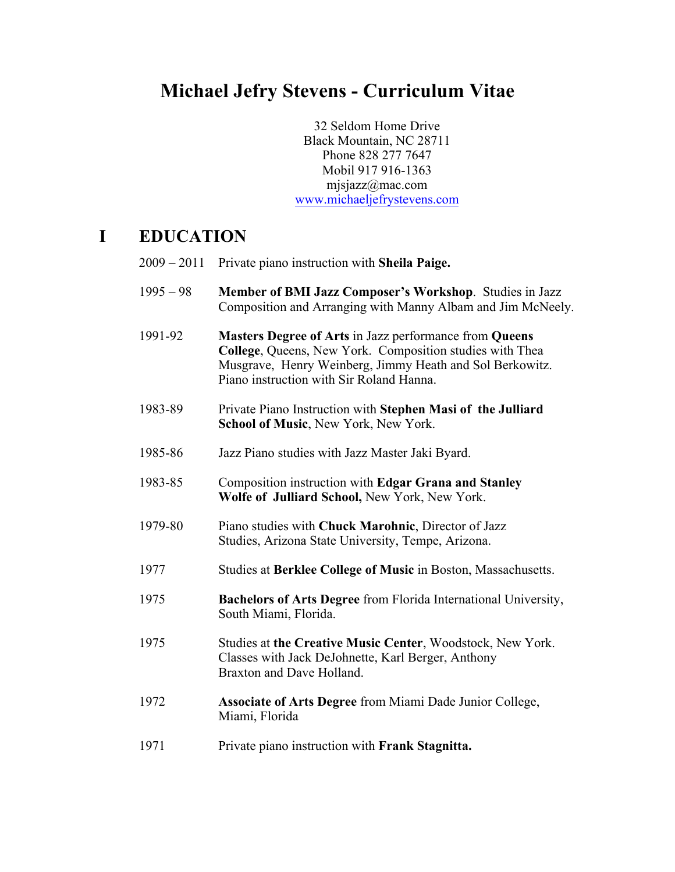## **Michael Jefry Stevens - Curriculum Vitae**

32 Seldom Home Drive Black Mountain, NC 28711 Phone 828 277 7647 Mobil 917 916-1363 mjsjazz@mac.com www.michaeljefrystevens.com

### **I EDUCATION**

| $2009 - 2011$ | Private piano instruction with Sheila Paige.                                                                                                                                                                               |
|---------------|----------------------------------------------------------------------------------------------------------------------------------------------------------------------------------------------------------------------------|
| $1995 - 98$   | Member of BMI Jazz Composer's Workshop. Studies in Jazz<br>Composition and Arranging with Manny Albam and Jim McNeely.                                                                                                     |
| 1991-92       | Masters Degree of Arts in Jazz performance from Queens<br>College, Queens, New York. Composition studies with Thea<br>Musgrave, Henry Weinberg, Jimmy Heath and Sol Berkowitz.<br>Piano instruction with Sir Roland Hanna. |
| 1983-89       | Private Piano Instruction with Stephen Masi of the Julliard<br>School of Music, New York, New York.                                                                                                                        |
| 1985-86       | Jazz Piano studies with Jazz Master Jaki Byard.                                                                                                                                                                            |
| 1983-85       | Composition instruction with Edgar Grana and Stanley<br>Wolfe of Julliard School, New York, New York.                                                                                                                      |
| 1979-80       | Piano studies with Chuck Marohnic, Director of Jazz<br>Studies, Arizona State University, Tempe, Arizona.                                                                                                                  |
| 1977          | Studies at Berklee College of Music in Boston, Massachusetts.                                                                                                                                                              |
| 1975          | <b>Bachelors of Arts Degree</b> from Florida International University,<br>South Miami, Florida.                                                                                                                            |
| 1975          | Studies at the Creative Music Center, Woodstock, New York.<br>Classes with Jack DeJohnette, Karl Berger, Anthony<br>Braxton and Dave Holland.                                                                              |
| 1972          | <b>Associate of Arts Degree</b> from Miami Dade Junior College,<br>Miami, Florida                                                                                                                                          |
| 1971          | Private piano instruction with Frank Stagnitta.                                                                                                                                                                            |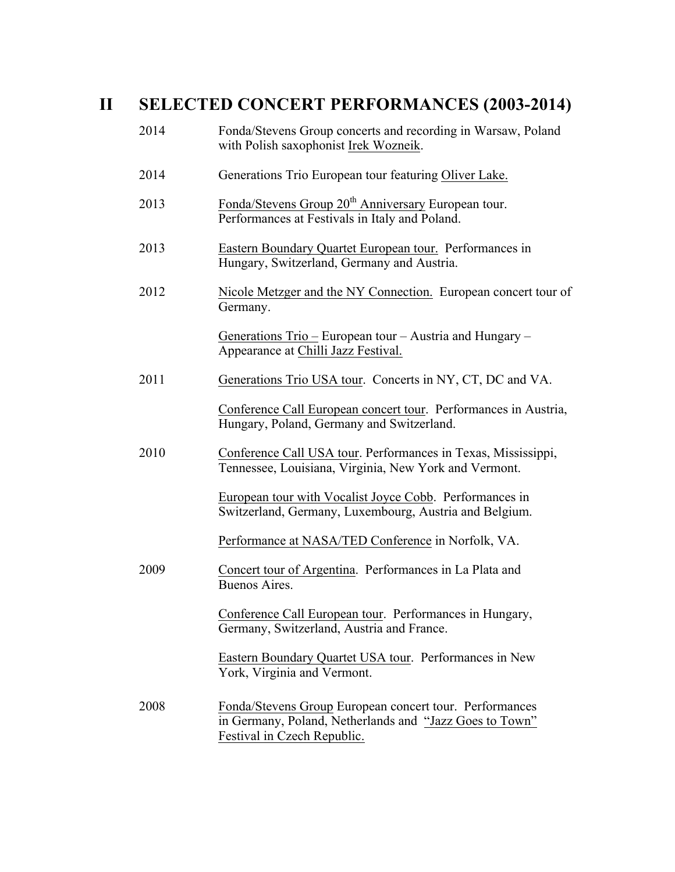# **II SELECTED CONCERT PERFORMANCES (2003-2014)**

| 2014 | Fonda/Stevens Group concerts and recording in Warsaw, Poland<br>with Polish saxophonist Irek Wozneik.                                             |
|------|---------------------------------------------------------------------------------------------------------------------------------------------------|
| 2014 | Generations Trio European tour featuring Oliver Lake.                                                                                             |
| 2013 | Fonda/Stevens Group 20 <sup>th</sup> Anniversary European tour.<br>Performances at Festivals in Italy and Poland.                                 |
| 2013 | Eastern Boundary Quartet European tour. Performances in<br>Hungary, Switzerland, Germany and Austria.                                             |
| 2012 | Nicole Metzger and the NY Connection. European concert tour of<br>Germany.                                                                        |
|      | Generations Trio – European tour – Austria and Hungary –<br>Appearance at Chilli Jazz Festival.                                                   |
| 2011 | Generations Trio USA tour. Concerts in NY, CT, DC and VA.                                                                                         |
|      | Conference Call European concert tour. Performances in Austria,<br>Hungary, Poland, Germany and Switzerland.                                      |
| 2010 | Conference Call USA tour. Performances in Texas, Mississippi,<br>Tennessee, Louisiana, Virginia, New York and Vermont.                            |
|      | European tour with Vocalist Joyce Cobb. Performances in<br>Switzerland, Germany, Luxembourg, Austria and Belgium.                                 |
|      | Performance at NASA/TED Conference in Norfolk, VA.                                                                                                |
| 2009 | Concert tour of Argentina. Performances in La Plata and<br>Buenos Aires.                                                                          |
|      | Conference Call European tour. Performances in Hungary,<br>Germany, Switzerland, Austria and France.                                              |
|      | Eastern Boundary Quartet USA tour. Performances in New<br>York, Virginia and Vermont.                                                             |
| 2008 | Fonda/Stevens Group European concert tour. Performances<br>in Germany, Poland, Netherlands and "Jazz Goes to Town"<br>Festival in Czech Republic. |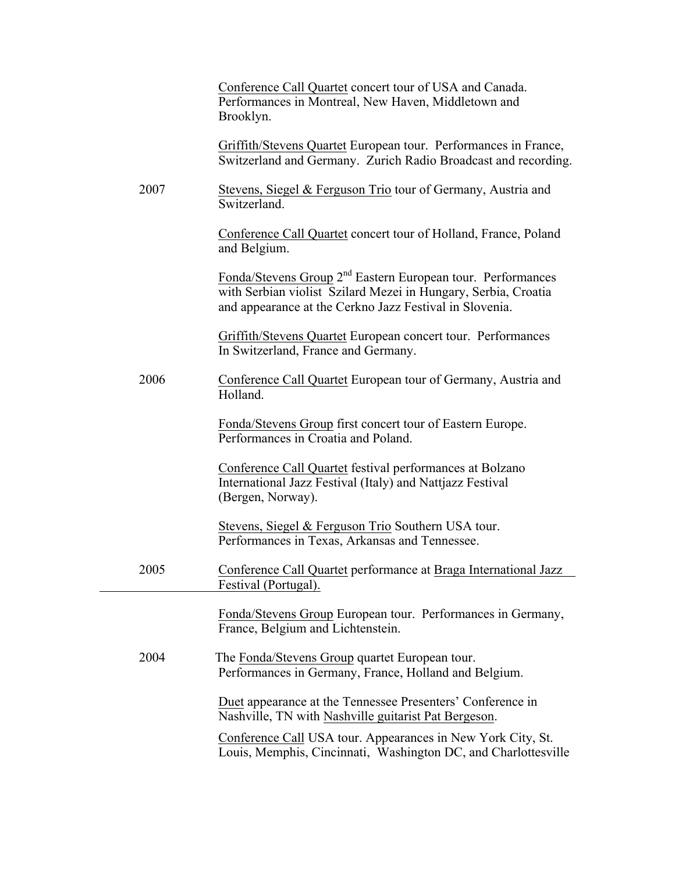|      | Conference Call Quartet concert tour of USA and Canada.<br>Performances in Montreal, New Haven, Middletown and<br>Brooklyn.                                                                          |
|------|------------------------------------------------------------------------------------------------------------------------------------------------------------------------------------------------------|
|      | Griffith/Stevens Quartet European tour. Performances in France,<br>Switzerland and Germany. Zurich Radio Broadcast and recording.                                                                    |
| 2007 | Stevens, Siegel & Ferguson Trio tour of Germany, Austria and<br>Switzerland.                                                                                                                         |
|      | Conference Call Quartet concert tour of Holland, France, Poland<br>and Belgium.                                                                                                                      |
|      | Fonda/Stevens Group 2 <sup>nd</sup> Eastern European tour. Performances<br>with Serbian violist Szilard Mezei in Hungary, Serbia, Croatia<br>and appearance at the Cerkno Jazz Festival in Slovenia. |
|      | <b>Griffith/Stevens Quartet European concert tour. Performances</b><br>In Switzerland, France and Germany.                                                                                           |
| 2006 | Conference Call Quartet European tour of Germany, Austria and<br>Holland.                                                                                                                            |
|      | Fonda/Stevens Group first concert tour of Eastern Europe.<br>Performances in Croatia and Poland.                                                                                                     |
|      | Conference Call Quartet festival performances at Bolzano<br>International Jazz Festival (Italy) and Nattjazz Festival<br>(Bergen, Norway).                                                           |
|      | Stevens, Siegel & Ferguson Trio Southern USA tour.<br>Performances in Texas, Arkansas and Tennessee.                                                                                                 |
| 2005 | Conference Call Quartet performance at Braga International Jazz<br>Festival (Portugal).                                                                                                              |
|      | Fonda/Stevens Group European tour. Performances in Germany,<br>France, Belgium and Lichtenstein.                                                                                                     |
| 2004 | The Fonda/Stevens Group quartet European tour.<br>Performances in Germany, France, Holland and Belgium.                                                                                              |
|      | Duet appearance at the Tennessee Presenters' Conference in<br>Nashville, TN with Nashville guitarist Pat Bergeson.                                                                                   |
|      | Conference Call USA tour. Appearances in New York City, St.<br>Louis, Memphis, Cincinnati, Washington DC, and Charlottesville                                                                        |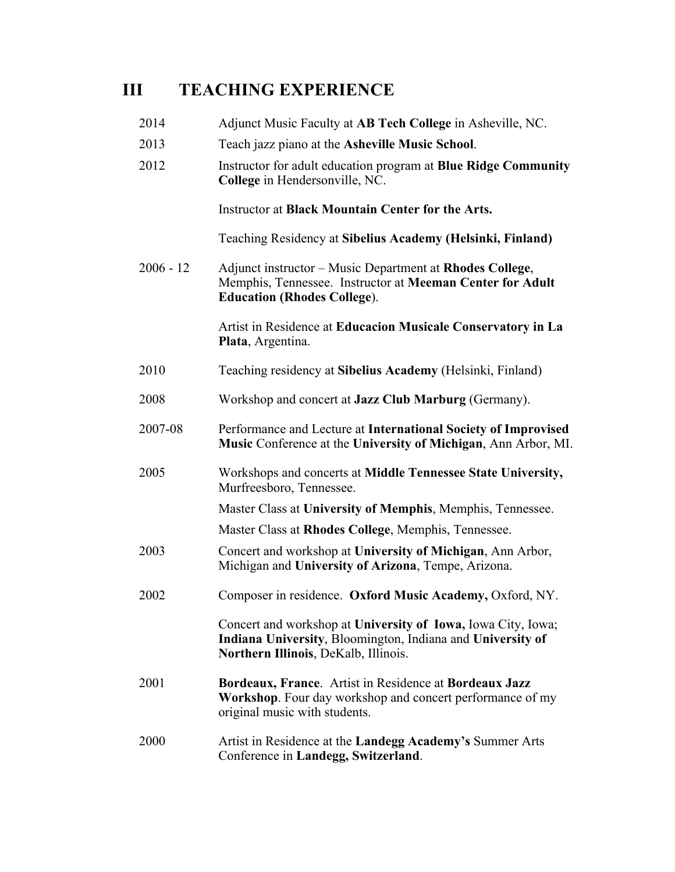### **III TEACHING EXPERIENCE**

| 2014 | Adjunct Music Faculty at AB Tech College in Asheville, NC. |
|------|------------------------------------------------------------|
|------|------------------------------------------------------------|

- 2013 Teach jazz piano at the **Asheville Music School**.
- 2012 Instructor for adult education program at **Blue Ridge Community College** in Hendersonville, NC.

Instructor at **Black Mountain Center for the Arts.**

Teaching Residency at **Sibelius Academy (Helsinki, Finland)**

2006 - 12 Adjunct instructor – Music Department at **Rhodes College**, Memphis, Tennessee. Instructor at **Meeman Center for Adult Education (Rhodes College**).

> Artist in Residence at **Educacion Musicale Conservatory in La Plata**, Argentina.

- 2010 Teaching residency at **Sibelius Academy** (Helsinki, Finland)
- 2008 Workshop and concert at **Jazz Club Marburg** (Germany).
- 2007-08 Performance and Lecture at **International Society of Improvised Music** Conference at the **University of Michigan**, Ann Arbor, MI.
- 2005 Workshops and concerts at **Middle Tennessee State University,** Murfreesboro, Tennessee.

Master Class at **University of Memphis**, Memphis, Tennessee.

Master Class at **Rhodes College**, Memphis, Tennessee.

- 2003 Concert and workshop at **University of Michigan**, Ann Arbor, Michigan and **University of Arizona**, Tempe, Arizona.
- 2002 Composer in residence. **Oxford Music Academy,** Oxford, NY.

Concert and workshop at **University of Iowa,** Iowa City, Iowa; **Indiana University**, Bloomington, Indiana and **University of Northern Illinois**, DeKalb, Illinois.

- 2001 **Bordeaux, France**. Artist in Residence at **Bordeaux Jazz Workshop**. Four day workshop and concert performance of my original music with students.
- 2000 Artist in Residence at the **Landegg Academy's** Summer Arts Conference in **Landegg, Switzerland**.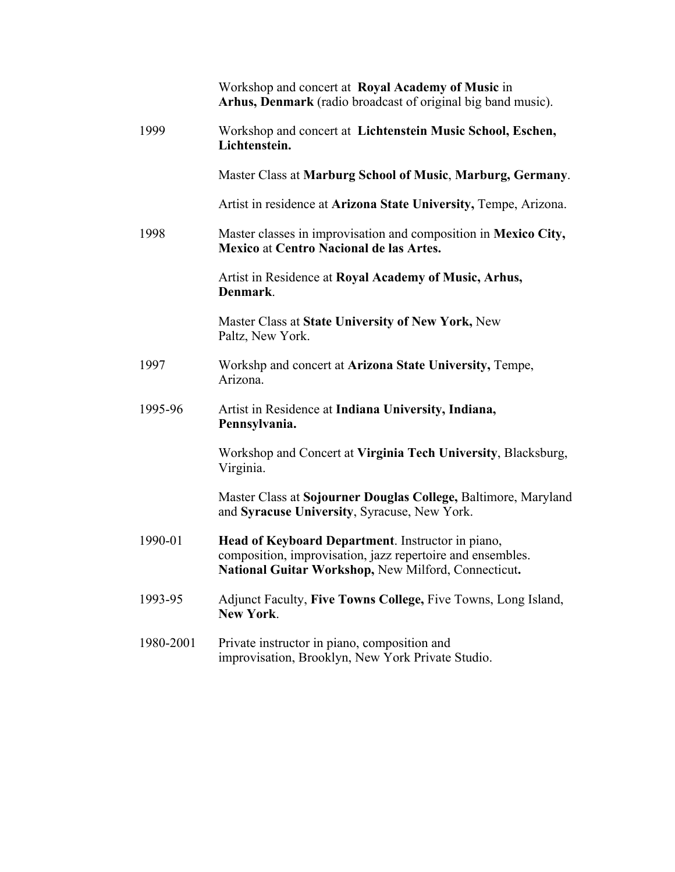|           | Workshop and concert at Royal Academy of Music in<br>Arhus, Denmark (radio broadcast of original big band music).                                                      |
|-----------|------------------------------------------------------------------------------------------------------------------------------------------------------------------------|
| 1999      | Workshop and concert at Lichtenstein Music School, Eschen,<br>Lichtenstein.                                                                                            |
|           | Master Class at Marburg School of Music, Marburg, Germany.                                                                                                             |
|           | Artist in residence at Arizona State University, Tempe, Arizona.                                                                                                       |
| 1998      | Master classes in improvisation and composition in Mexico City,<br><b>Mexico at Centro Nacional de las Artes.</b>                                                      |
|           | Artist in Residence at Royal Academy of Music, Arhus,<br>Denmark.                                                                                                      |
|           | Master Class at State University of New York, New<br>Paltz, New York.                                                                                                  |
| 1997      | Workshp and concert at Arizona State University, Tempe,<br>Arizona.                                                                                                    |
| 1995-96   | Artist in Residence at Indiana University, Indiana,<br>Pennsylvania.                                                                                                   |
|           | Workshop and Concert at Virginia Tech University, Blacksburg,<br>Virginia.                                                                                             |
|           | Master Class at Sojourner Douglas College, Baltimore, Maryland<br>and Syracuse University, Syracuse, New York.                                                         |
| 1990-01   | Head of Keyboard Department. Instructor in piano,<br>composition, improvisation, jazz repertoire and ensembles.<br>National Guitar Workshop, New Milford, Connecticut. |
| 1993-95   | Adjunct Faculty, Five Towns College, Five Towns, Long Island,<br><b>New York.</b>                                                                                      |
| 1980-2001 | Private instructor in piano, composition and<br>improvisation, Brooklyn, New York Private Studio.                                                                      |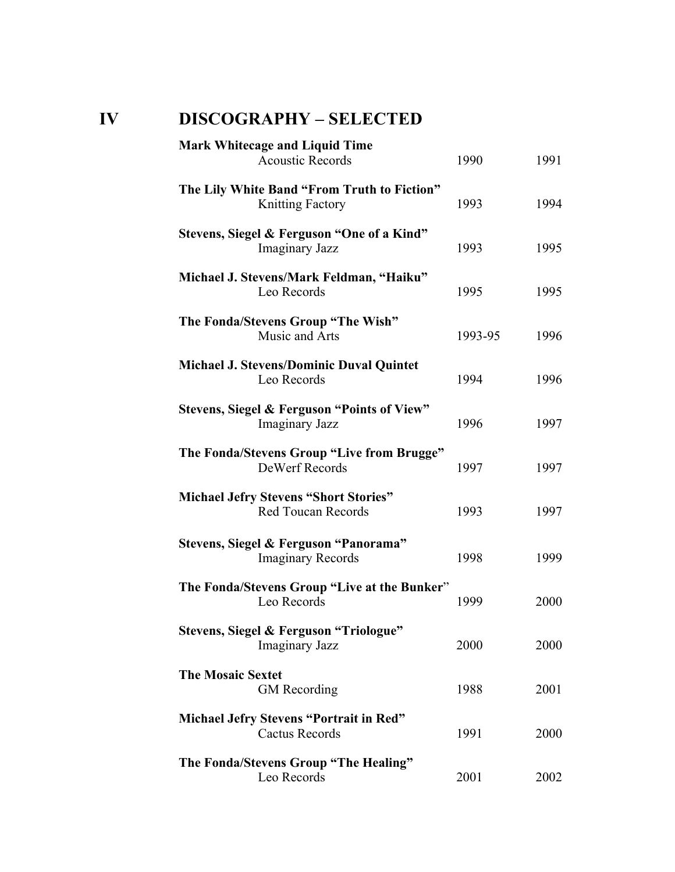### **IV DISCOGRAPHY – SELECTED**

| 1990    | 1991                                         |
|---------|----------------------------------------------|
| 1993    | 1994                                         |
| 1993    | 1995                                         |
| 1995    | 1995                                         |
| 1993-95 | 1996                                         |
| 1994    | 1996                                         |
| 1996    | 1997                                         |
| 1997    | 1997                                         |
| 1993    | 1997                                         |
| 1998    | 1999                                         |
| 1999    | 2000                                         |
| 2000    | 2000                                         |
| 1988    | 2001                                         |
| 1991    | 2000                                         |
| 2001    | 2002                                         |
|         | The Fonda/Stevens Group "Live at the Bunker" |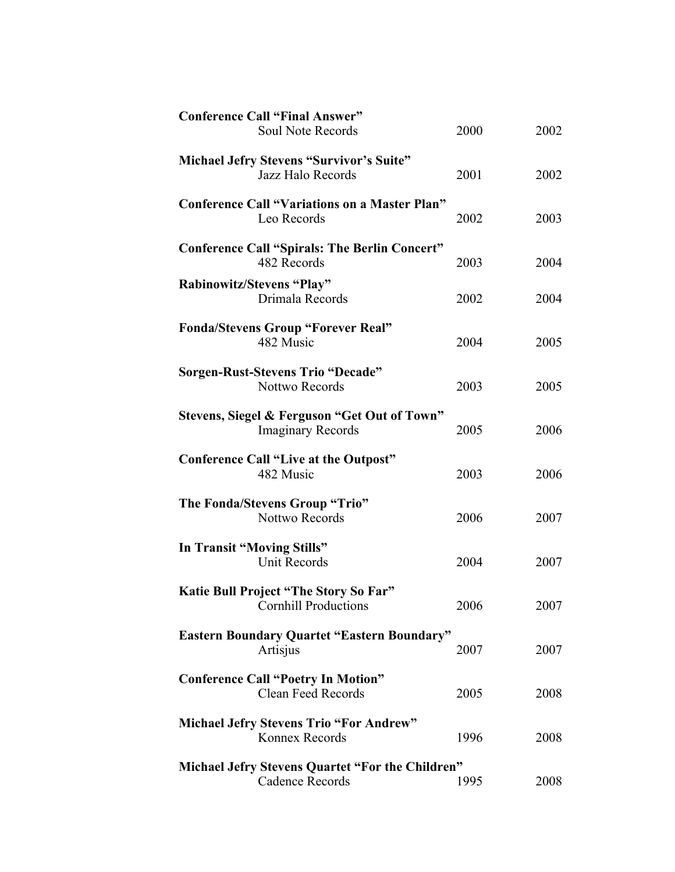| <b>Conference Call "Final Answer"</b><br><b>Soul Note Records</b>        | 2000 | 2002 |
|--------------------------------------------------------------------------|------|------|
| <b>Michael Jefry Stevens "Survivor's Suite"</b><br>Jazz Halo Records     | 2001 | 2002 |
| <b>Conference Call "Variations on a Master Plan"</b><br>Leo Records      | 2002 | 2003 |
| <b>Conference Call "Spirals: The Berlin Concert"</b><br>482 Records      | 2003 | 2004 |
| Rabinowitz/Stevens "Play"<br>Drimala Records                             | 2002 | 2004 |
| <b>Fonda/Stevens Group "Forever Real"</b><br>482 Music                   | 2004 | 2005 |
| <b>Sorgen-Rust-Stevens Trio "Decade"</b><br><b>Nottwo Records</b>        | 2003 | 2005 |
| Stevens, Siegel & Ferguson "Get Out of Town"<br><b>Imaginary Records</b> | 2005 | 2006 |
| <b>Conference Call "Live at the Outpost"</b><br>482 Music                | 2003 | 2006 |
| The Fonda/Stevens Group "Trio"<br><b>Nottwo Records</b>                  | 2006 | 2007 |
| In Transit "Moving Stills"<br><b>Unit Records</b>                        | 2004 | 2007 |
| Katie Bull Project "The Story So Far"<br><b>Cornhill Productions</b>     | 2006 | 2007 |
| <b>Eastern Boundary Quartet "Eastern Boundary"</b><br>Artisjus           | 2007 | 2007 |
| <b>Conference Call "Poetry In Motion"</b><br><b>Clean Feed Records</b>   | 2005 | 2008 |
| <b>Michael Jefry Stevens Trio "For Andrew"</b><br>Konnex Records         | 1996 | 2008 |
| Michael Jefry Stevens Quartet "For the Children"<br>Cadence Records      | 1995 | 2008 |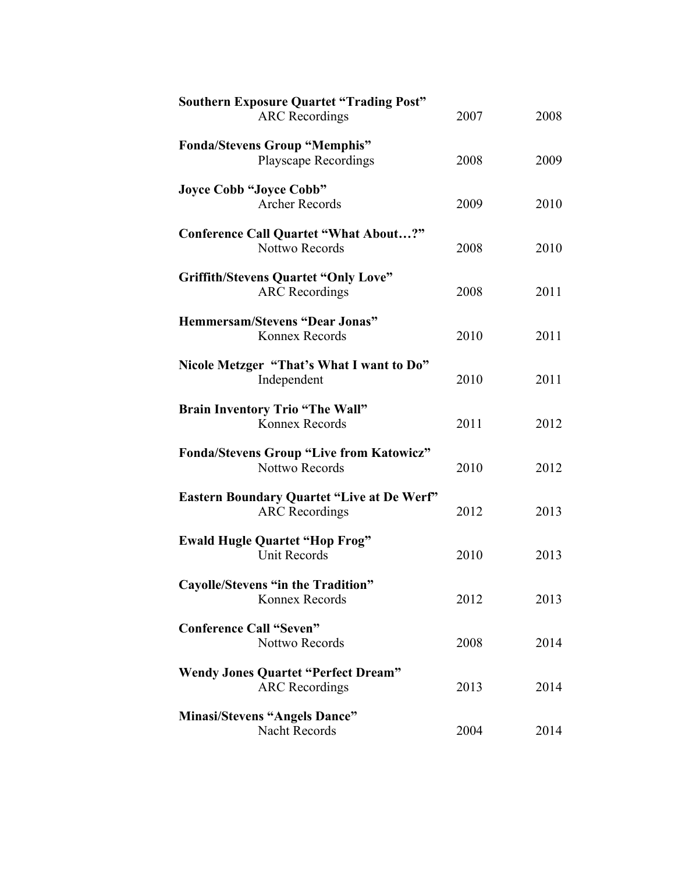| <b>Southern Exposure Quartet "Trading Post"</b><br><b>ARC</b> Recordings   | 2007 | 2008 |
|----------------------------------------------------------------------------|------|------|
|                                                                            |      |      |
| <b>Fonda/Stevens Group "Memphis"</b><br><b>Playscape Recordings</b>        | 2008 | 2009 |
| <b>Joyce Cobb "Joyce Cobb"</b><br><b>Archer Records</b>                    | 2009 | 2010 |
| <b>Conference Call Quartet "What About?"</b><br>Nottwo Records             | 2008 | 2010 |
| <b>Griffith/Stevens Quartet "Only Love"</b><br><b>ARC</b> Recordings       | 2008 | 2011 |
| <b>Hemmersam/Stevens "Dear Jonas"</b><br>Konnex Records                    | 2010 | 2011 |
| Nicole Metzger "That's What I want to Do"<br>Independent                   | 2010 | 2011 |
| <b>Brain Inventory Trio "The Wall"</b><br>Konnex Records                   | 2011 | 2012 |
| <b>Fonda/Stevens Group "Live from Katowicz"</b><br><b>Nottwo Records</b>   | 2010 | 2012 |
| <b>Eastern Boundary Quartet "Live at De Werf"</b><br><b>ARC</b> Recordings | 2012 | 2013 |
| <b>Ewald Hugle Quartet "Hop Frog"</b><br>Unit Records                      | 2010 | 2013 |
| Cayolle/Stevens "in the Tradition"<br>Konnex Records                       | 2012 | 2013 |
| <b>Conference Call "Seven"</b><br><b>Nottwo Records</b>                    | 2008 | 2014 |
| <b>Wendy Jones Quartet "Perfect Dream"</b><br><b>ARC</b> Recordings        | 2013 | 2014 |
| <b>Minasi/Stevens "Angels Dance"</b><br>Nacht Records                      | 2004 | 2014 |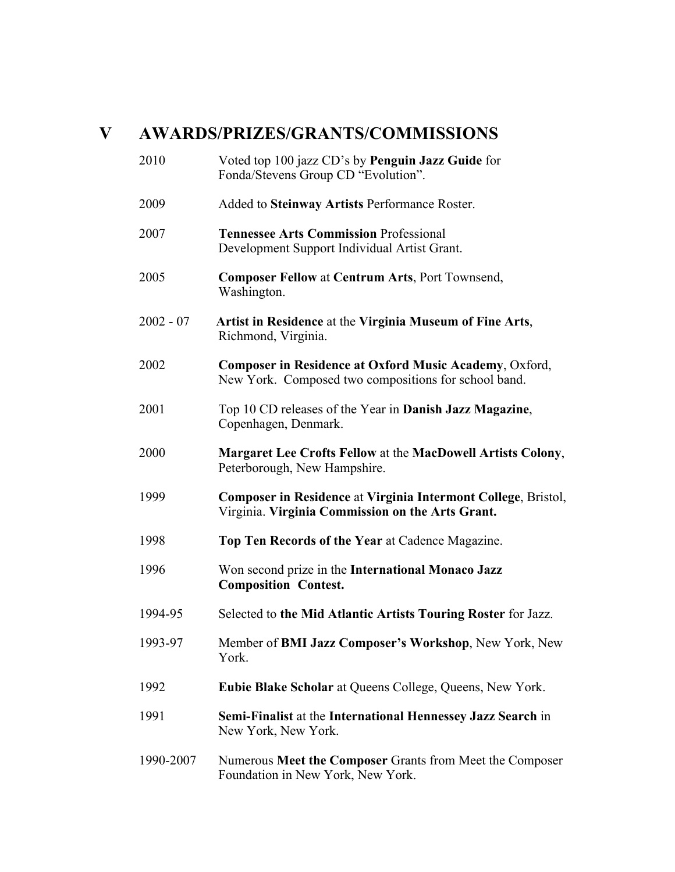### **V AWARDS/PRIZES/GRANTS/COMMISSIONS**

| 2010        | Voted top 100 jazz CD's by Penguin Jazz Guide for<br>Fonda/Stevens Group CD "Evolution".                          |
|-------------|-------------------------------------------------------------------------------------------------------------------|
| 2009        | Added to Steinway Artists Performance Roster.                                                                     |
| 2007        | <b>Tennessee Arts Commission Professional</b><br>Development Support Individual Artist Grant.                     |
| 2005        | <b>Composer Fellow at Centrum Arts, Port Townsend,</b><br>Washington.                                             |
| $2002 - 07$ | Artist in Residence at the Virginia Museum of Fine Arts,<br>Richmond, Virginia.                                   |
| 2002        | Composer in Residence at Oxford Music Academy, Oxford,<br>New York. Composed two compositions for school band.    |
| 2001        | Top 10 CD releases of the Year in Danish Jazz Magazine,<br>Copenhagen, Denmark.                                   |
| 2000        | <b>Margaret Lee Crofts Fellow at the MacDowell Artists Colony,</b><br>Peterborough, New Hampshire.                |
| 1999        | Composer in Residence at Virginia Intermont College, Bristol,<br>Virginia. Virginia Commission on the Arts Grant. |
| 1998        | Top Ten Records of the Year at Cadence Magazine.                                                                  |
| 1996        | Won second prize in the International Monaco Jazz<br><b>Composition Contest.</b>                                  |
| 1994-95     | Selected to the Mid Atlantic Artists Touring Roster for Jazz.                                                     |
| 1993-97     | Member of BMI Jazz Composer's Workshop, New York, New<br>York.                                                    |
| 1992        | Eubie Blake Scholar at Queens College, Queens, New York.                                                          |
| 1991        | Semi-Finalist at the International Hennessey Jazz Search in<br>New York, New York.                                |
| 1990-2007   | Numerous Meet the Composer Grants from Meet the Composer<br>Foundation in New York, New York.                     |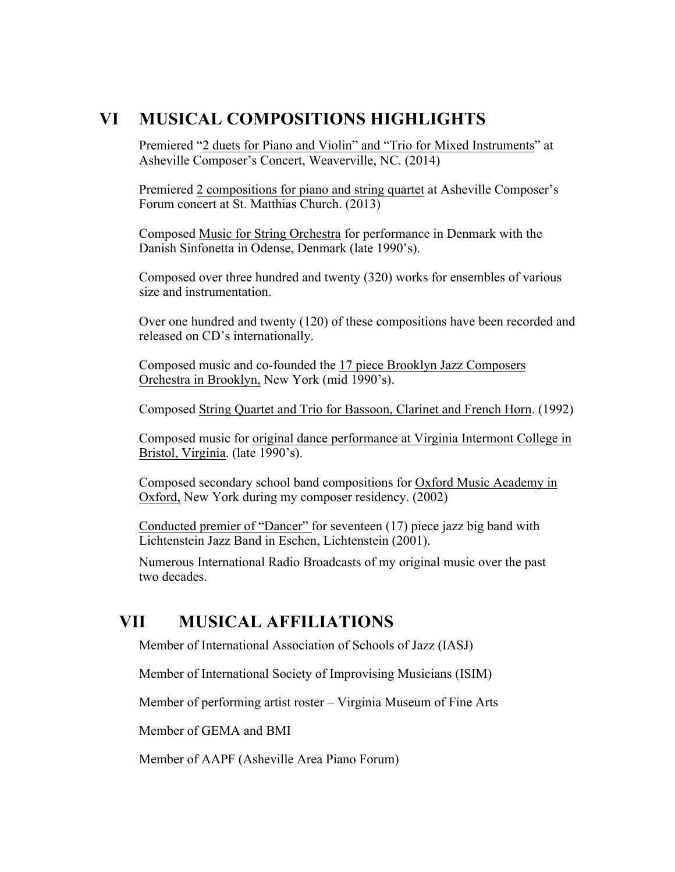### **VI MUSICAL COMPOSITIONS HIGHLIGHTS**

Premiered "2 duets for Piano and Violin" and "Trio for Mixed Instruments" at Asheville Composer's Concert, Weaverville, NC. (2014)

Premiered 2 compositions for piano and string quartet at Asheville Composer's Forum concert at St. Matthias Church. (2013)

Composed Music for String Orchestra for performance in Denmark with the Danish Sinfonetta in Odense, Denmark (late 1990's).

Composed over three hundred and twenty (320) works for ensembles of various size and instrumentation.

Over one hundred and twenty (120) of these compositions have been recorded and released on CD's internationally.

Composed music and co-founded the 17 piece Brooklyn Jazz Composers Orchestra in Brooklyn, New York (mid 1990's).

Composed String Quartet and Trio for Bassoon, Clarinet and French Horn. (1992)

Composed music for original dance performance at Virginia Intermont College in Bristol, Virginia. (late 1990's).

Composed secondary school band compositions for Oxford Music Academy in Oxford, New York during my composer residency. (2002)

Conducted premier of "Dancer" for seventeen (17) piece jazz big band with Lichtenstein Jazz Band in Eschen, Lichtenstein (2001).

Numerous International Radio Broadcasts of my original music over the past two decades.

#### **VII MUSICAL AFFILIATIONS**

Member of International Association of Schools of Jazz (IASJ)

Member of International Society of Improvising Musicians (ISIM)

Member of performing artist roster – Virginia Museum of Fine Arts

Member of GEMA and BMI

Member of AAPF (Asheville Area Piano Forum)